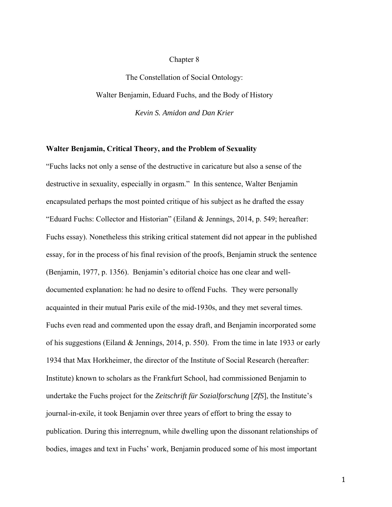## Chapter 8

The Constellation of Social Ontology: Walter Benjamin, Eduard Fuchs, and the Body of History *Kevin S. Amidon and Dan Krier*

# **Walter Benjamin, Critical Theory, and the Problem of Sexuality**

"Fuchs lacks not only a sense of the destructive in caricature but also a sense of the destructive in sexuality, especially in orgasm." In this sentence, Walter Benjamin encapsulated perhaps the most pointed critique of his subject as he drafted the essay "Eduard Fuchs: Collector and Historian" (Eiland & Jennings, 2014, p. 549; hereafter: Fuchs essay). Nonetheless this striking critical statement did not appear in the published essay, for in the process of his final revision of the proofs, Benjamin struck the sentence (Benjamin, 1977, p. 1356). Benjamin's editorial choice has one clear and welldocumented explanation: he had no desire to offend Fuchs. They were personally acquainted in their mutual Paris exile of the mid-1930s, and they met several times. Fuchs even read and commented upon the essay draft, and Benjamin incorporated some of his suggestions (Eiland & Jennings, 2014, p. 550). From the time in late 1933 or early 1934 that Max Horkheimer, the director of the Institute of Social Research (hereafter: Institute) known to scholars as the Frankfurt School, had commissioned Benjamin to undertake the Fuchs project for the *Zeitschrift für Sozialforschung* [*ZfS*], the Institute's journal-in-exile, it took Benjamin over three years of effort to bring the essay to publication. During this interregnum, while dwelling upon the dissonant relationships of bodies, images and text in Fuchs' work, Benjamin produced some of his most important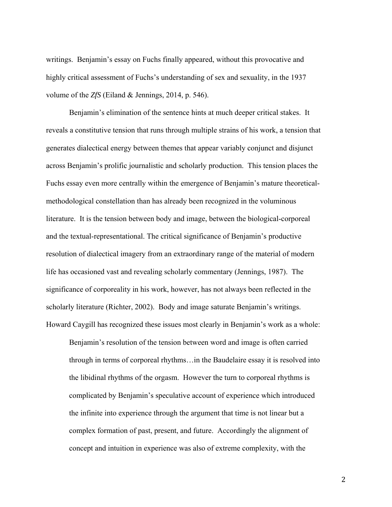writings. Benjamin's essay on Fuchs finally appeared, without this provocative and highly critical assessment of Fuchs's understanding of sex and sexuality, in the 1937 volume of the *ZfS* (Eiland & Jennings, 2014, p. 546).

Benjamin's elimination of the sentence hints at much deeper critical stakes. It reveals a constitutive tension that runs through multiple strains of his work, a tension that generates dialectical energy between themes that appear variably conjunct and disjunct across Benjamin's prolific journalistic and scholarly production. This tension places the Fuchs essay even more centrally within the emergence of Benjamin's mature theoreticalmethodological constellation than has already been recognized in the voluminous literature. It is the tension between body and image, between the biological-corporeal and the textual-representational. The critical significance of Benjamin's productive resolution of dialectical imagery from an extraordinary range of the material of modern life has occasioned vast and revealing scholarly commentary (Jennings, 1987). The significance of corporeality in his work, however, has not always been reflected in the scholarly literature (Richter, 2002). Body and image saturate Benjamin's writings. Howard Caygill has recognized these issues most clearly in Benjamin's work as a whole:

Benjamin's resolution of the tension between word and image is often carried through in terms of corporeal rhythms…in the Baudelaire essay it is resolved into the libidinal rhythms of the orgasm. However the turn to corporeal rhythms is complicated by Benjamin's speculative account of experience which introduced the infinite into experience through the argument that time is not linear but a complex formation of past, present, and future. Accordingly the alignment of concept and intuition in experience was also of extreme complexity, with the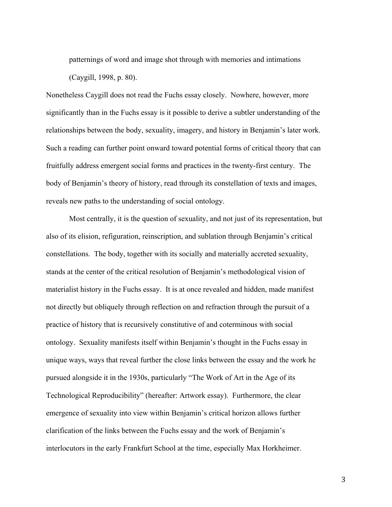patternings of word and image shot through with memories and intimations (Caygill, 1998, p. 80).

Nonetheless Caygill does not read the Fuchs essay closely. Nowhere, however, more significantly than in the Fuchs essay is it possible to derive a subtler understanding of the relationships between the body, sexuality, imagery, and history in Benjamin's later work. Such a reading can further point onward toward potential forms of critical theory that can fruitfully address emergent social forms and practices in the twenty-first century. The body of Benjamin's theory of history, read through its constellation of texts and images, reveals new paths to the understanding of social ontology.

Most centrally, it is the question of sexuality, and not just of its representation, but also of its elision, refiguration, reinscription, and sublation through Benjamin's critical constellations. The body, together with its socially and materially accreted sexuality, stands at the center of the critical resolution of Benjamin's methodological vision of materialist history in the Fuchs essay. It is at once revealed and hidden, made manifest not directly but obliquely through reflection on and refraction through the pursuit of a practice of history that is recursively constitutive of and coterminous with social ontology. Sexuality manifests itself within Benjamin's thought in the Fuchs essay in unique ways, ways that reveal further the close links between the essay and the work he pursued alongside it in the 1930s, particularly "The Work of Art in the Age of its Technological Reproducibility" (hereafter: Artwork essay). Furthermore, the clear emergence of sexuality into view within Benjamin's critical horizon allows further clarification of the links between the Fuchs essay and the work of Benjamin's interlocutors in the early Frankfurt School at the time, especially Max Horkheimer.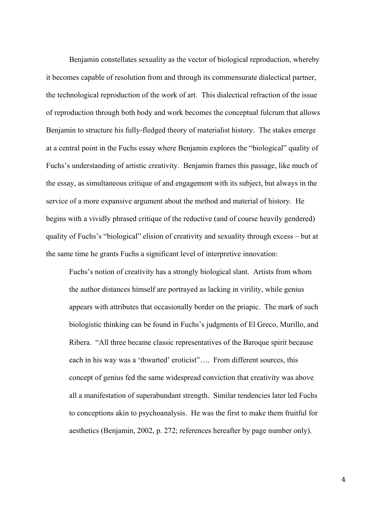Benjamin constellates sexuality as the vector of biological reproduction, whereby it becomes capable of resolution from and through its commensurate dialectical partner, the technological reproduction of the work of art. This dialectical refraction of the issue of reproduction through both body and work becomes the conceptual fulcrum that allows Benjamin to structure his fully-fledged theory of materialist history. The stakes emerge at a central point in the Fuchs essay where Benjamin explores the "biological" quality of Fuchs's understanding of artistic creativity. Benjamin frames this passage, like much of the essay, as simultaneous critique of and engagement with its subject, but always in the service of a more expansive argument about the method and material of history. He begins with a vividly phrased critique of the reductive (and of course heavily gendered) quality of Fuchs's "biological" elision of creativity and sexuality through excess – but at the same time he grants Fuchs a significant level of interpretive innovation:

Fuchs's notion of creativity has a strongly biological slant. Artists from whom the author distances himself are portrayed as lacking in virility, while genius appears with attributes that occasionally border on the priapic. The mark of such biologistic thinking can be found in Fuchs's judgments of El Greco, Murillo, and Ribera. "All three became classic representatives of the Baroque spirit because each in his way was a 'thwarted' eroticist"…. From different sources, this concept of genius fed the same widespread conviction that creativity was above all a manifestation of superabundant strength. Similar tendencies later led Fuchs to conceptions akin to psychoanalysis. He was the first to make them fruitful for aesthetics (Benjamin, 2002, p. 272; references hereafter by page number only).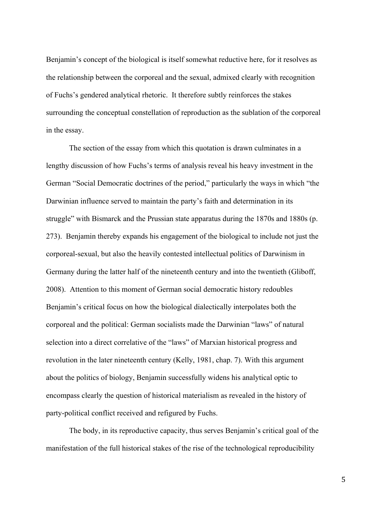Benjamin's concept of the biological is itself somewhat reductive here, for it resolves as the relationship between the corporeal and the sexual, admixed clearly with recognition of Fuchs's gendered analytical rhetoric. It therefore subtly reinforces the stakes surrounding the conceptual constellation of reproduction as the sublation of the corporeal in the essay.

The section of the essay from which this quotation is drawn culminates in a lengthy discussion of how Fuchs's terms of analysis reveal his heavy investment in the German "Social Democratic doctrines of the period," particularly the ways in which "the Darwinian influence served to maintain the party's faith and determination in its struggle" with Bismarck and the Prussian state apparatus during the 1870s and 1880s (p. 273). Benjamin thereby expands his engagement of the biological to include not just the corporeal-sexual, but also the heavily contested intellectual politics of Darwinism in Germany during the latter half of the nineteenth century and into the twentieth (Gliboff, 2008). Attention to this moment of German social democratic history redoubles Benjamin's critical focus on how the biological dialectically interpolates both the corporeal and the political: German socialists made the Darwinian "laws" of natural selection into a direct correlative of the "laws" of Marxian historical progress and revolution in the later nineteenth century (Kelly, 1981, chap. 7). With this argument about the politics of biology, Benjamin successfully widens his analytical optic to encompass clearly the question of historical materialism as revealed in the history of party-political conflict received and refigured by Fuchs.

The body, in its reproductive capacity, thus serves Benjamin's critical goal of the manifestation of the full historical stakes of the rise of the technological reproducibility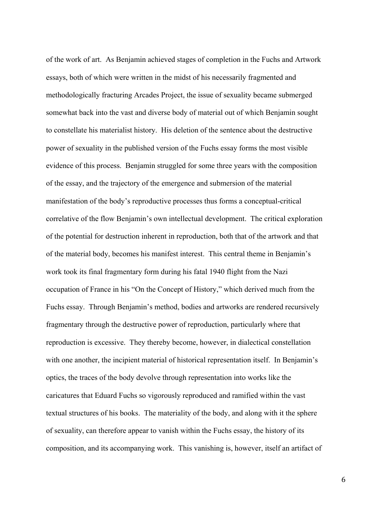of the work of art. As Benjamin achieved stages of completion in the Fuchs and Artwork essays, both of which were written in the midst of his necessarily fragmented and methodologically fracturing Arcades Project, the issue of sexuality became submerged somewhat back into the vast and diverse body of material out of which Benjamin sought to constellate his materialist history. His deletion of the sentence about the destructive power of sexuality in the published version of the Fuchs essay forms the most visible evidence of this process. Benjamin struggled for some three years with the composition of the essay, and the trajectory of the emergence and submersion of the material manifestation of the body's reproductive processes thus forms a conceptual-critical correlative of the flow Benjamin's own intellectual development. The critical exploration of the potential for destruction inherent in reproduction, both that of the artwork and that of the material body, becomes his manifest interest. This central theme in Benjamin's work took its final fragmentary form during his fatal 1940 flight from the Nazi occupation of France in his "On the Concept of History," which derived much from the Fuchs essay. Through Benjamin's method, bodies and artworks are rendered recursively fragmentary through the destructive power of reproduction, particularly where that reproduction is excessive. They thereby become, however, in dialectical constellation with one another, the incipient material of historical representation itself. In Benjamin's optics, the traces of the body devolve through representation into works like the caricatures that Eduard Fuchs so vigorously reproduced and ramified within the vast textual structures of his books. The materiality of the body, and along with it the sphere of sexuality, can therefore appear to vanish within the Fuchs essay, the history of its composition, and its accompanying work. This vanishing is, however, itself an artifact of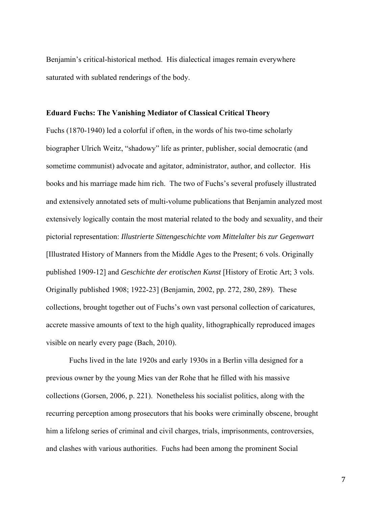Benjamin's critical-historical method. His dialectical images remain everywhere saturated with sublated renderings of the body.

## **Eduard Fuchs: The Vanishing Mediator of Classical Critical Theory**

Fuchs (1870-1940) led a colorful if often, in the words of his two-time scholarly biographer Ulrich Weitz, "shadowy" life as printer, publisher, social democratic (and sometime communist) advocate and agitator, administrator, author, and collector. His books and his marriage made him rich. The two of Fuchs's several profusely illustrated and extensively annotated sets of multi-volume publications that Benjamin analyzed most extensively logically contain the most material related to the body and sexuality, and their pictorial representation: *Illustrierte Sittengeschichte vom Mittelalter bis zur Gegenwart* [Illustrated History of Manners from the Middle Ages to the Present; 6 vols. Originally published 1909-12] and *Geschichte der erotischen Kunst* [History of Erotic Art; 3 vols. Originally published 1908; 1922-23] (Benjamin, 2002, pp. 272, 280, 289). These collections, brought together out of Fuchs's own vast personal collection of caricatures, accrete massive amounts of text to the high quality, lithographically reproduced images visible on nearly every page (Bach, 2010).

Fuchs lived in the late 1920s and early 1930s in a Berlin villa designed for a previous owner by the young Mies van der Rohe that he filled with his massive collections (Gorsen, 2006, p. 221). Nonetheless his socialist politics, along with the recurring perception among prosecutors that his books were criminally obscene, brought him a lifelong series of criminal and civil charges, trials, imprisonments, controversies, and clashes with various authorities. Fuchs had been among the prominent Social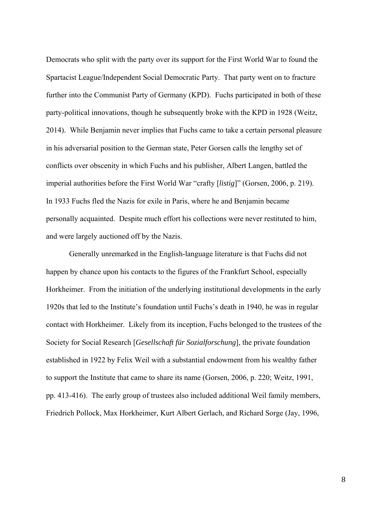Democrats who split with the party over its support for the First World War to found the Spartacist League/Independent Social Democratic Party. That party went on to fracture further into the Communist Party of Germany (KPD). Fuchs participated in both of these party-political innovations, though he subsequently broke with the KPD in 1928 (Weitz, 2014). While Benjamin never implies that Fuchs came to take a certain personal pleasure in his adversarial position to the German state, Peter Gorsen calls the lengthy set of conflicts over obscenity in which Fuchs and his publisher, Albert Langen, battled the imperial authorities before the First World War "crafty [*listig*]" (Gorsen, 2006, p. 219). In 1933 Fuchs fled the Nazis for exile in Paris, where he and Benjamin became personally acquainted. Despite much effort his collections were never restituted to him, and were largely auctioned off by the Nazis.

Generally unremarked in the English-language literature is that Fuchs did not happen by chance upon his contacts to the figures of the Frankfurt School, especially Horkheimer. From the initiation of the underlying institutional developments in the early 1920s that led to the Institute's foundation until Fuchs's death in 1940, he was in regular contact with Horkheimer. Likely from its inception, Fuchs belonged to the trustees of the Society for Social Research [*Gesellschaft für Sozialforschung*], the private foundation established in 1922 by Felix Weil with a substantial endowment from his wealthy father to support the Institute that came to share its name (Gorsen, 2006, p. 220; Weitz, 1991, pp. 413-416). The early group of trustees also included additional Weil family members, Friedrich Pollock, Max Horkheimer, Kurt Albert Gerlach, and Richard Sorge (Jay, 1996,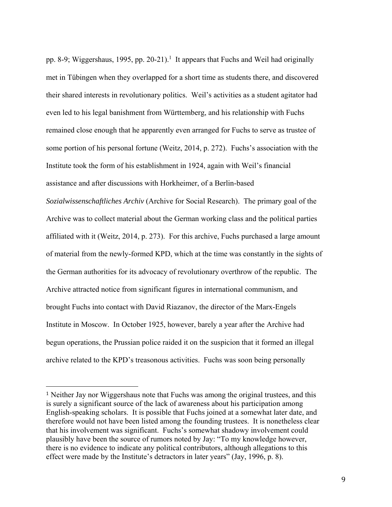pp. 8-9; Wiggershaus, 1995, pp. 20-21).<sup>1</sup> It appears that Fuchs and Weil had originally met in Tübingen when they overlapped for a short time as students there, and discovered their shared interests in revolutionary politics. Weil's activities as a student agitator had even led to his legal banishment from Württemberg, and his relationship with Fuchs remained close enough that he apparently even arranged for Fuchs to serve as trustee of some portion of his personal fortune (Weitz, 2014, p. 272). Fuchs's association with the Institute took the form of his establishment in 1924, again with Weil's financial assistance and after discussions with Horkheimer, of a Berlin-based

*Sozialwissenschaftliches Archiv* (Archive for Social Research). The primary goal of the Archive was to collect material about the German working class and the political parties affiliated with it (Weitz, 2014, p. 273). For this archive, Fuchs purchased a large amount of material from the newly-formed KPD, which at the time was constantly in the sights of the German authorities for its advocacy of revolutionary overthrow of the republic. The Archive attracted notice from significant figures in international communism, and brought Fuchs into contact with David Riazanov, the director of the Marx-Engels Institute in Moscow. In October 1925, however, barely a year after the Archive had begun operations, the Prussian police raided it on the suspicion that it formed an illegal archive related to the KPD's treasonous activities. Fuchs was soon being personally

<sup>1</sup> Neither Jay nor Wiggershaus note that Fuchs was among the original trustees, and this is surely a significant source of the lack of awareness about his participation among English-speaking scholars. It is possible that Fuchs joined at a somewhat later date, and therefore would not have been listed among the founding trustees. It is nonetheless clear that his involvement was significant. Fuchs's somewhat shadowy involvement could plausibly have been the source of rumors noted by Jay: "To my knowledge however, there is no evidence to indicate any political contributors, although allegations to this effect were made by the Institute's detractors in later years" (Jay, 1996, p. 8).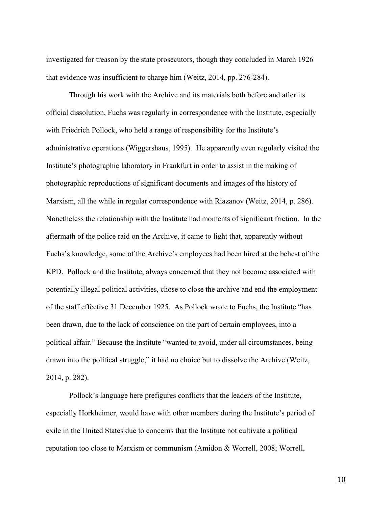investigated for treason by the state prosecutors, though they concluded in March 1926 that evidence was insufficient to charge him (Weitz, 2014, pp. 276-284).

Through his work with the Archive and its materials both before and after its official dissolution, Fuchs was regularly in correspondence with the Institute, especially with Friedrich Pollock, who held a range of responsibility for the Institute's administrative operations (Wiggershaus, 1995). He apparently even regularly visited the Institute's photographic laboratory in Frankfurt in order to assist in the making of photographic reproductions of significant documents and images of the history of Marxism, all the while in regular correspondence with Riazanov (Weitz, 2014, p. 286). Nonetheless the relationship with the Institute had moments of significant friction. In the aftermath of the police raid on the Archive, it came to light that, apparently without Fuchs's knowledge, some of the Archive's employees had been hired at the behest of the KPD. Pollock and the Institute, always concerned that they not become associated with potentially illegal political activities, chose to close the archive and end the employment of the staff effective 31 December 1925. As Pollock wrote to Fuchs, the Institute "has been drawn, due to the lack of conscience on the part of certain employees, into a political affair." Because the Institute "wanted to avoid, under all circumstances, being drawn into the political struggle," it had no choice but to dissolve the Archive (Weitz, 2014, p. 282).

Pollock's language here prefigures conflicts that the leaders of the Institute, especially Horkheimer, would have with other members during the Institute's period of exile in the United States due to concerns that the Institute not cultivate a political reputation too close to Marxism or communism (Amidon & Worrell, 2008; Worrell,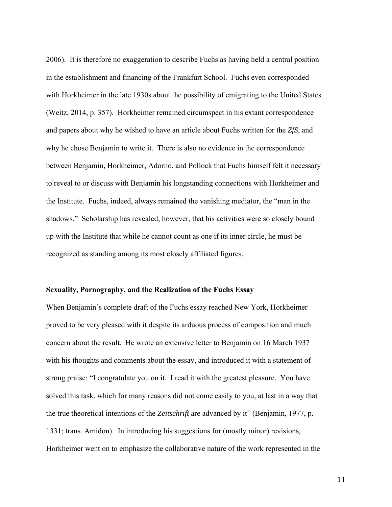2006). It is therefore no exaggeration to describe Fuchs as having held a central position in the establishment and financing of the Frankfurt School. Fuchs even corresponded with Horkheimer in the late 1930s about the possibility of emigrating to the United States (Weitz, 2014, p. 357). Horkheimer remained circumspect in his extant correspondence and papers about why he wished to have an article about Fuchs written for the *ZfS*, and why he chose Benjamin to write it. There is also no evidence in the correspondence between Benjamin, Horkheimer, Adorno, and Pollock that Fuchs himself felt it necessary to reveal to or discuss with Benjamin his longstanding connections with Horkheimer and the Institute. Fuchs, indeed, always remained the vanishing mediator, the "man in the shadows." Scholarship has revealed, however, that his activities were so closely bound up with the Institute that while he cannot count as one if its inner circle, he must be recognized as standing among its most closely affiliated figures.

# **Sexuality, Pornography, and the Realization of the Fuchs Essay**

When Benjamin's complete draft of the Fuchs essay reached New York, Horkheimer proved to be very pleased with it despite its arduous process of composition and much concern about the result. He wrote an extensive letter to Benjamin on 16 March 1937 with his thoughts and comments about the essay, and introduced it with a statement of strong praise: "I congratulate you on it. I read it with the greatest pleasure. You have solved this task, which for many reasons did not come easily to you, at last in a way that the true theoretical intentions of the *Zeitschrift* are advanced by it" (Benjamin, 1977, p. 1331; trans. Amidon). In introducing his suggestions for (mostly minor) revisions, Horkheimer went on to emphasize the collaborative nature of the work represented in the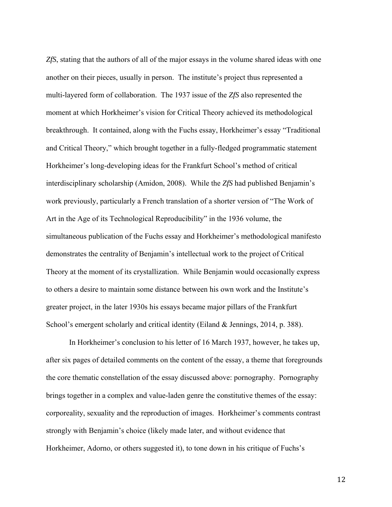*ZfS*, stating that the authors of all of the major essays in the volume shared ideas with one another on their pieces, usually in person. The institute's project thus represented a multi-layered form of collaboration. The 1937 issue of the *ZfS* also represented the moment at which Horkheimer's vision for Critical Theory achieved its methodological breakthrough. It contained, along with the Fuchs essay, Horkheimer's essay "Traditional and Critical Theory," which brought together in a fully-fledged programmatic statement Horkheimer's long-developing ideas for the Frankfurt School's method of critical interdisciplinary scholarship (Amidon, 2008). While the *ZfS* had published Benjamin's work previously, particularly a French translation of a shorter version of "The Work of Art in the Age of its Technological Reproducibility" in the 1936 volume, the simultaneous publication of the Fuchs essay and Horkheimer's methodological manifesto demonstrates the centrality of Benjamin's intellectual work to the project of Critical Theory at the moment of its crystallization. While Benjamin would occasionally express to others a desire to maintain some distance between his own work and the Institute's greater project, in the later 1930s his essays became major pillars of the Frankfurt School's emergent scholarly and critical identity (Eiland & Jennings, 2014, p. 388).

In Horkheimer's conclusion to his letter of 16 March 1937, however, he takes up, after six pages of detailed comments on the content of the essay, a theme that foregrounds the core thematic constellation of the essay discussed above: pornography. Pornography brings together in a complex and value-laden genre the constitutive themes of the essay: corporeality, sexuality and the reproduction of images. Horkheimer's comments contrast strongly with Benjamin's choice (likely made later, and without evidence that Horkheimer, Adorno, or others suggested it), to tone down in his critique of Fuchs's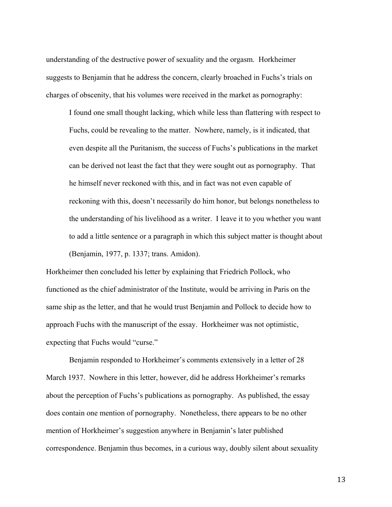understanding of the destructive power of sexuality and the orgasm. Horkheimer suggests to Benjamin that he address the concern, clearly broached in Fuchs's trials on charges of obscenity, that his volumes were received in the market as pornography:

I found one small thought lacking, which while less than flattering with respect to Fuchs, could be revealing to the matter. Nowhere, namely, is it indicated, that even despite all the Puritanism, the success of Fuchs's publications in the market can be derived not least the fact that they were sought out as pornography. That he himself never reckoned with this, and in fact was not even capable of reckoning with this, doesn't necessarily do him honor, but belongs nonetheless to the understanding of his livelihood as a writer. I leave it to you whether you want to add a little sentence or a paragraph in which this subject matter is thought about (Benjamin, 1977, p. 1337; trans. Amidon).

Horkheimer then concluded his letter by explaining that Friedrich Pollock, who functioned as the chief administrator of the Institute, would be arriving in Paris on the same ship as the letter, and that he would trust Benjamin and Pollock to decide how to approach Fuchs with the manuscript of the essay. Horkheimer was not optimistic, expecting that Fuchs would "curse."

 Benjamin responded to Horkheimer's comments extensively in a letter of 28 March 1937. Nowhere in this letter, however, did he address Horkheimer's remarks about the perception of Fuchs's publications as pornography. As published, the essay does contain one mention of pornography. Nonetheless, there appears to be no other mention of Horkheimer's suggestion anywhere in Benjamin's later published correspondence. Benjamin thus becomes, in a curious way, doubly silent about sexuality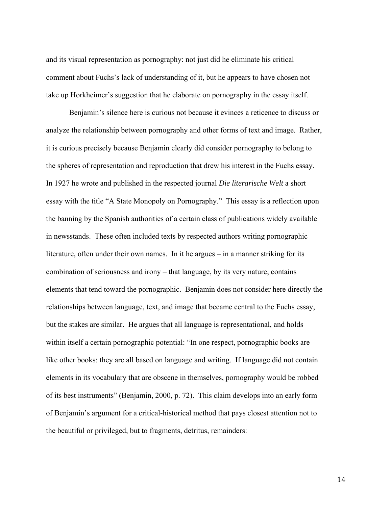and its visual representation as pornography: not just did he eliminate his critical comment about Fuchs's lack of understanding of it, but he appears to have chosen not take up Horkheimer's suggestion that he elaborate on pornography in the essay itself.

 Benjamin's silence here is curious not because it evinces a reticence to discuss or analyze the relationship between pornography and other forms of text and image. Rather, it is curious precisely because Benjamin clearly did consider pornography to belong to the spheres of representation and reproduction that drew his interest in the Fuchs essay. In 1927 he wrote and published in the respected journal *Die literarische Welt* a short essay with the title "A State Monopoly on Pornography." This essay is a reflection upon the banning by the Spanish authorities of a certain class of publications widely available in newsstands. These often included texts by respected authors writing pornographic literature, often under their own names. In it he argues – in a manner striking for its combination of seriousness and irony – that language, by its very nature, contains elements that tend toward the pornographic. Benjamin does not consider here directly the relationships between language, text, and image that became central to the Fuchs essay, but the stakes are similar. He argues that all language is representational, and holds within itself a certain pornographic potential: "In one respect, pornographic books are like other books: they are all based on language and writing. If language did not contain elements in its vocabulary that are obscene in themselves, pornography would be robbed of its best instruments" (Benjamin, 2000, p. 72). This claim develops into an early form of Benjamin's argument for a critical-historical method that pays closest attention not to the beautiful or privileged, but to fragments, detritus, remainders: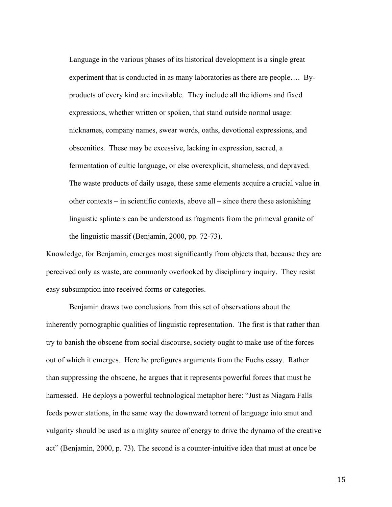Language in the various phases of its historical development is a single great experiment that is conducted in as many laboratories as there are people…. Byproducts of every kind are inevitable. They include all the idioms and fixed expressions, whether written or spoken, that stand outside normal usage: nicknames, company names, swear words, oaths, devotional expressions, and obscenities. These may be excessive, lacking in expression, sacred, a fermentation of cultic language, or else overexplicit, shameless, and depraved. The waste products of daily usage, these same elements acquire a crucial value in other contexts – in scientific contexts, above all – since there these astonishing linguistic splinters can be understood as fragments from the primeval granite of the linguistic massif (Benjamin, 2000, pp. 72-73).

Knowledge, for Benjamin, emerges most significantly from objects that, because they are perceived only as waste, are commonly overlooked by disciplinary inquiry. They resist easy subsumption into received forms or categories.

 Benjamin draws two conclusions from this set of observations about the inherently pornographic qualities of linguistic representation. The first is that rather than try to banish the obscene from social discourse, society ought to make use of the forces out of which it emerges. Here he prefigures arguments from the Fuchs essay. Rather than suppressing the obscene, he argues that it represents powerful forces that must be harnessed. He deploys a powerful technological metaphor here: "Just as Niagara Falls feeds power stations, in the same way the downward torrent of language into smut and vulgarity should be used as a mighty source of energy to drive the dynamo of the creative act" (Benjamin, 2000, p. 73). The second is a counter-intuitive idea that must at once be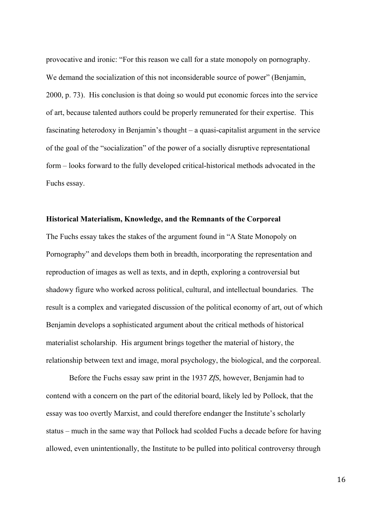provocative and ironic: "For this reason we call for a state monopoly on pornography. We demand the socialization of this not inconsiderable source of power" (Benjamin, 2000, p. 73). His conclusion is that doing so would put economic forces into the service of art, because talented authors could be properly remunerated for their expertise. This fascinating heterodoxy in Benjamin's thought – a quasi-capitalist argument in the service of the goal of the "socialization" of the power of a socially disruptive representational form – looks forward to the fully developed critical-historical methods advocated in the Fuchs essay.

#### **Historical Materialism, Knowledge, and the Remnants of the Corporeal**

The Fuchs essay takes the stakes of the argument found in "A State Monopoly on Pornography" and develops them both in breadth, incorporating the representation and reproduction of images as well as texts, and in depth, exploring a controversial but shadowy figure who worked across political, cultural, and intellectual boundaries. The result is a complex and variegated discussion of the political economy of art, out of which Benjamin develops a sophisticated argument about the critical methods of historical materialist scholarship. His argument brings together the material of history, the relationship between text and image, moral psychology, the biological, and the corporeal.

 Before the Fuchs essay saw print in the 1937 *ZfS*, however, Benjamin had to contend with a concern on the part of the editorial board, likely led by Pollock, that the essay was too overtly Marxist, and could therefore endanger the Institute's scholarly status – much in the same way that Pollock had scolded Fuchs a decade before for having allowed, even unintentionally, the Institute to be pulled into political controversy through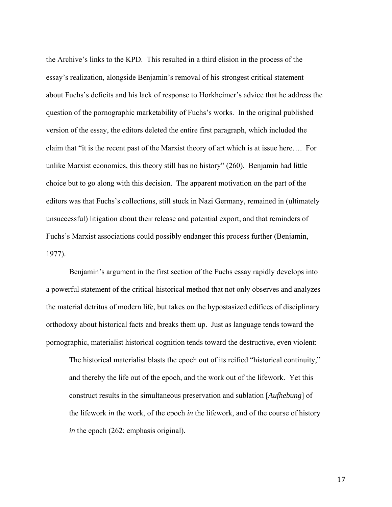the Archive's links to the KPD. This resulted in a third elision in the process of the essay's realization, alongside Benjamin's removal of his strongest critical statement about Fuchs's deficits and his lack of response to Horkheimer's advice that he address the question of the pornographic marketability of Fuchs's works. In the original published version of the essay, the editors deleted the entire first paragraph, which included the claim that "it is the recent past of the Marxist theory of art which is at issue here…. For unlike Marxist economics, this theory still has no history" (260). Benjamin had little choice but to go along with this decision. The apparent motivation on the part of the editors was that Fuchs's collections, still stuck in Nazi Germany, remained in (ultimately unsuccessful) litigation about their release and potential export, and that reminders of Fuchs's Marxist associations could possibly endanger this process further (Benjamin, 1977).

Benjamin's argument in the first section of the Fuchs essay rapidly develops into a powerful statement of the critical-historical method that not only observes and analyzes the material detritus of modern life, but takes on the hypostasized edifices of disciplinary orthodoxy about historical facts and breaks them up. Just as language tends toward the pornographic, materialist historical cognition tends toward the destructive, even violent:

The historical materialist blasts the epoch out of its reified "historical continuity," and thereby the life out of the epoch, and the work out of the lifework. Yet this construct results in the simultaneous preservation and sublation [*Aufhebung*] of the lifework *in* the work, of the epoch *in* the lifework, and of the course of history *in* the epoch (262; emphasis original).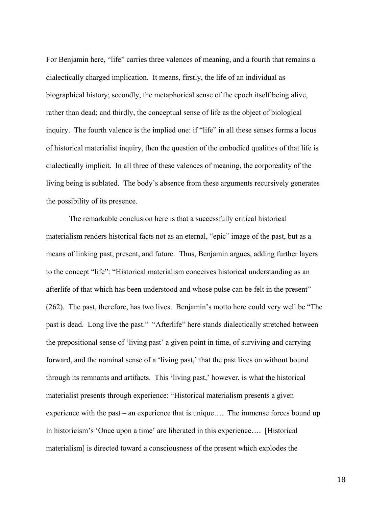For Benjamin here, "life" carries three valences of meaning, and a fourth that remains a dialectically charged implication. It means, firstly, the life of an individual as biographical history; secondly, the metaphorical sense of the epoch itself being alive, rather than dead; and thirdly, the conceptual sense of life as the object of biological inquiry. The fourth valence is the implied one: if "life" in all these senses forms a locus of historical materialist inquiry, then the question of the embodied qualities of that life is dialectically implicit. In all three of these valences of meaning, the corporeality of the living being is sublated. The body's absence from these arguments recursively generates the possibility of its presence.

 The remarkable conclusion here is that a successfully critical historical materialism renders historical facts not as an eternal, "epic" image of the past, but as a means of linking past, present, and future. Thus, Benjamin argues, adding further layers to the concept "life": "Historical materialism conceives historical understanding as an afterlife of that which has been understood and whose pulse can be felt in the present" (262). The past, therefore, has two lives. Benjamin's motto here could very well be "The past is dead. Long live the past." "Afterlife" here stands dialectically stretched between the prepositional sense of 'living past' a given point in time, of surviving and carrying forward, and the nominal sense of a 'living past,' that the past lives on without bound through its remnants and artifacts. This 'living past,' however, is what the historical materialist presents through experience: "Historical materialism presents a given experience with the past – an experience that is unique…. The immense forces bound up in historicism's 'Once upon a time' are liberated in this experience…. [Historical materialism] is directed toward a consciousness of the present which explodes the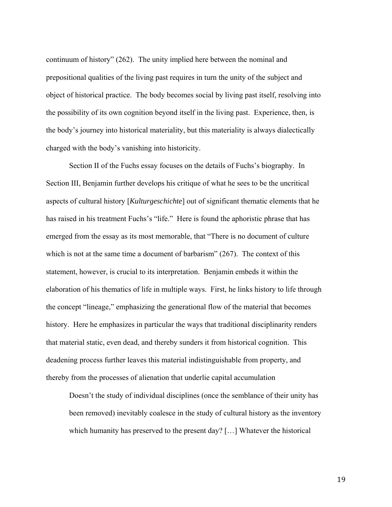continuum of history" (262). The unity implied here between the nominal and prepositional qualities of the living past requires in turn the unity of the subject and object of historical practice. The body becomes social by living past itself, resolving into the possibility of its own cognition beyond itself in the living past. Experience, then, is the body's journey into historical materiality, but this materiality is always dialectically charged with the body's vanishing into historicity.

 Section II of the Fuchs essay focuses on the details of Fuchs's biography. In Section III, Benjamin further develops his critique of what he sees to be the uncritical aspects of cultural history [*Kulturgeschichte*] out of significant thematic elements that he has raised in his treatment Fuchs's "life." Here is found the aphoristic phrase that has emerged from the essay as its most memorable, that "There is no document of culture which is not at the same time a document of barbarism" (267). The context of this statement, however, is crucial to its interpretation. Benjamin embeds it within the elaboration of his thematics of life in multiple ways. First, he links history to life through the concept "lineage," emphasizing the generational flow of the material that becomes history. Here he emphasizes in particular the ways that traditional disciplinarity renders that material static, even dead, and thereby sunders it from historical cognition. This deadening process further leaves this material indistinguishable from property, and thereby from the processes of alienation that underlie capital accumulation

Doesn't the study of individual disciplines (once the semblance of their unity has been removed) inevitably coalesce in the study of cultural history as the inventory which humanity has preserved to the present day? […] Whatever the historical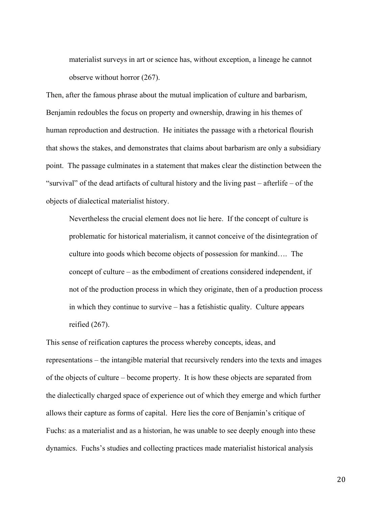materialist surveys in art or science has, without exception, a lineage he cannot observe without horror (267).

Then, after the famous phrase about the mutual implication of culture and barbarism, Benjamin redoubles the focus on property and ownership, drawing in his themes of human reproduction and destruction. He initiates the passage with a rhetorical flourish that shows the stakes, and demonstrates that claims about barbarism are only a subsidiary point. The passage culminates in a statement that makes clear the distinction between the "survival" of the dead artifacts of cultural history and the living past – afterlife – of the objects of dialectical materialist history.

Nevertheless the crucial element does not lie here. If the concept of culture is problematic for historical materialism, it cannot conceive of the disintegration of culture into goods which become objects of possession for mankind…. The concept of culture – as the embodiment of creations considered independent, if not of the production process in which they originate, then of a production process in which they continue to survive – has a fetishistic quality. Culture appears reified (267).

This sense of reification captures the process whereby concepts, ideas, and representations – the intangible material that recursively renders into the texts and images of the objects of culture – become property. It is how these objects are separated from the dialectically charged space of experience out of which they emerge and which further allows their capture as forms of capital. Here lies the core of Benjamin's critique of Fuchs: as a materialist and as a historian, he was unable to see deeply enough into these dynamics. Fuchs's studies and collecting practices made materialist historical analysis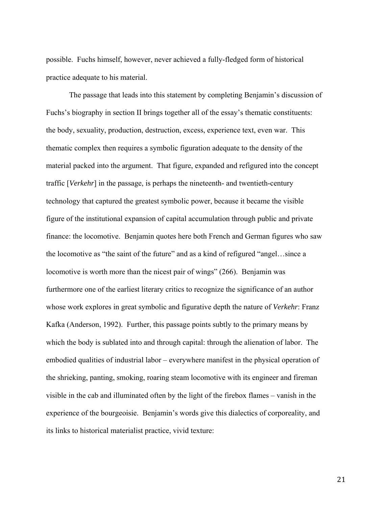possible. Fuchs himself, however, never achieved a fully-fledged form of historical practice adequate to his material.

The passage that leads into this statement by completing Benjamin's discussion of Fuchs's biography in section II brings together all of the essay's thematic constituents: the body, sexuality, production, destruction, excess, experience text, even war. This thematic complex then requires a symbolic figuration adequate to the density of the material packed into the argument. That figure, expanded and refigured into the concept traffic [*Verkehr*] in the passage, is perhaps the nineteenth- and twentieth-century technology that captured the greatest symbolic power, because it became the visible figure of the institutional expansion of capital accumulation through public and private finance: the locomotive. Benjamin quotes here both French and German figures who saw the locomotive as "the saint of the future" and as a kind of refigured "angel…since a locomotive is worth more than the nicest pair of wings" (266). Benjamin was furthermore one of the earliest literary critics to recognize the significance of an author whose work explores in great symbolic and figurative depth the nature of *Verkehr*: Franz Kafka (Anderson, 1992). Further, this passage points subtly to the primary means by which the body is sublated into and through capital: through the alienation of labor. The embodied qualities of industrial labor – everywhere manifest in the physical operation of the shrieking, panting, smoking, roaring steam locomotive with its engineer and fireman visible in the cab and illuminated often by the light of the firebox flames – vanish in the experience of the bourgeoisie. Benjamin's words give this dialectics of corporeality, and its links to historical materialist practice, vivid texture: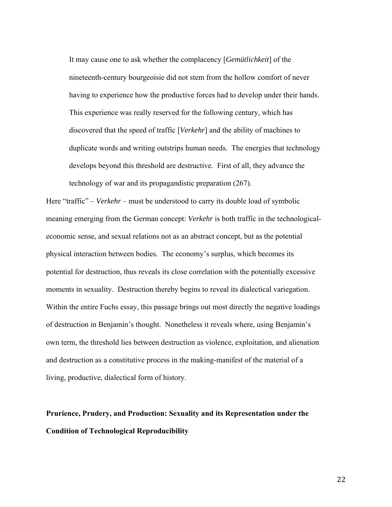It may cause one to ask whether the complacency [*Gemütlichkeit*] of the nineteenth-century bourgeoisie did not stem from the hollow comfort of never having to experience how the productive forces had to develop under their hands. This experience was really reserved for the following century, which has discovered that the speed of traffic [*Verkehr*] and the ability of machines to duplicate words and writing outstrips human needs. The energies that technology develops beyond this threshold are destructive. First of all, they advance the technology of war and its propagandistic preparation (267).

Here "traffic" – *Verkehr* – must be understood to carry its double load of symbolic meaning emerging from the German concept: *Verkehr* is both traffic in the technologicaleconomic sense, and sexual relations not as an abstract concept, but as the potential physical interaction between bodies. The economy's surplus, which becomes its potential for destruction, thus reveals its close correlation with the potentially excessive moments in sexuality. Destruction thereby begins to reveal its dialectical variegation. Within the entire Fuchs essay, this passage brings out most directly the negative loadings of destruction in Benjamin's thought. Nonetheless it reveals where, using Benjamin's own term, the threshold lies between destruction as violence, exploitation, and alienation and destruction as a constitutive process in the making-manifest of the material of a living, productive, dialectical form of history.

# **Prurience, Prudery, and Production: Sexuality and its Representation under the Condition of Technological Reproducibility**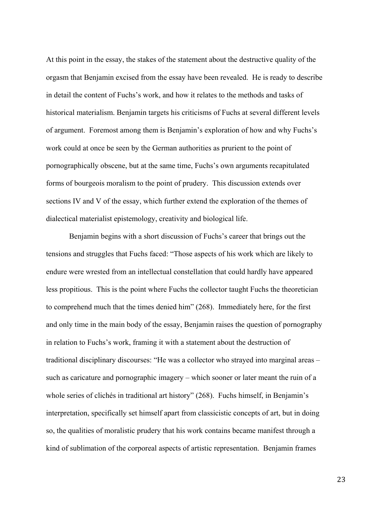At this point in the essay, the stakes of the statement about the destructive quality of the orgasm that Benjamin excised from the essay have been revealed. He is ready to describe in detail the content of Fuchs's work, and how it relates to the methods and tasks of historical materialism. Benjamin targets his criticisms of Fuchs at several different levels of argument. Foremost among them is Benjamin's exploration of how and why Fuchs's work could at once be seen by the German authorities as prurient to the point of pornographically obscene, but at the same time, Fuchs's own arguments recapitulated forms of bourgeois moralism to the point of prudery. This discussion extends over sections IV and V of the essay, which further extend the exploration of the themes of dialectical materialist epistemology, creativity and biological life.

 Benjamin begins with a short discussion of Fuchs's career that brings out the tensions and struggles that Fuchs faced: "Those aspects of his work which are likely to endure were wrested from an intellectual constellation that could hardly have appeared less propitious. This is the point where Fuchs the collector taught Fuchs the theoretician to comprehend much that the times denied him" (268). Immediately here, for the first and only time in the main body of the essay, Benjamin raises the question of pornography in relation to Fuchs's work, framing it with a statement about the destruction of traditional disciplinary discourses: "He was a collector who strayed into marginal areas – such as caricature and pornographic imagery – which sooner or later meant the ruin of a whole series of clichés in traditional art history" (268). Fuchs himself, in Benjamin's interpretation, specifically set himself apart from classicistic concepts of art, but in doing so, the qualities of moralistic prudery that his work contains became manifest through a kind of sublimation of the corporeal aspects of artistic representation. Benjamin frames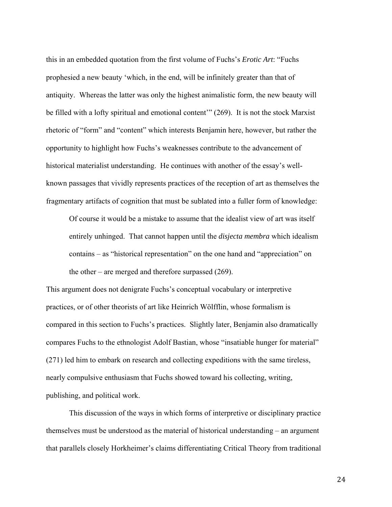this in an embedded quotation from the first volume of Fuchs's *Erotic Art*: "Fuchs prophesied a new beauty 'which, in the end, will be infinitely greater than that of antiquity. Whereas the latter was only the highest animalistic form, the new beauty will be filled with a lofty spiritual and emotional content'" (269). It is not the stock Marxist rhetoric of "form" and "content" which interests Benjamin here, however, but rather the opportunity to highlight how Fuchs's weaknesses contribute to the advancement of historical materialist understanding. He continues with another of the essay's wellknown passages that vividly represents practices of the reception of art as themselves the fragmentary artifacts of cognition that must be sublated into a fuller form of knowledge:

Of course it would be a mistake to assume that the idealist view of art was itself entirely unhinged. That cannot happen until the *disjecta membra* which idealism contains – as "historical representation" on the one hand and "appreciation" on the other – are merged and therefore surpassed  $(269)$ .

This argument does not denigrate Fuchs's conceptual vocabulary or interpretive practices, or of other theorists of art like Heinrich Wölfflin, whose formalism is compared in this section to Fuchs's practices. Slightly later, Benjamin also dramatically compares Fuchs to the ethnologist Adolf Bastian, whose "insatiable hunger for material" (271) led him to embark on research and collecting expeditions with the same tireless, nearly compulsive enthusiasm that Fuchs showed toward his collecting, writing, publishing, and political work.

 This discussion of the ways in which forms of interpretive or disciplinary practice themselves must be understood as the material of historical understanding – an argument that parallels closely Horkheimer's claims differentiating Critical Theory from traditional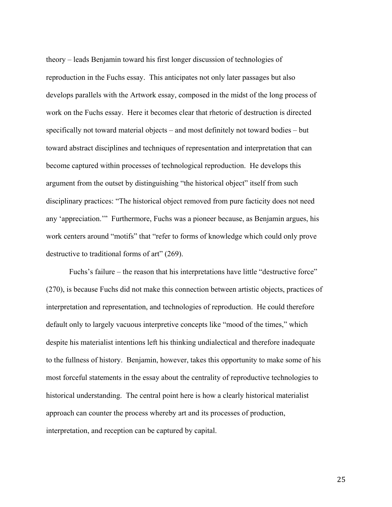theory – leads Benjamin toward his first longer discussion of technologies of reproduction in the Fuchs essay. This anticipates not only later passages but also develops parallels with the Artwork essay, composed in the midst of the long process of work on the Fuchs essay. Here it becomes clear that rhetoric of destruction is directed specifically not toward material objects – and most definitely not toward bodies – but toward abstract disciplines and techniques of representation and interpretation that can become captured within processes of technological reproduction. He develops this argument from the outset by distinguishing "the historical object" itself from such disciplinary practices: "The historical object removed from pure facticity does not need any 'appreciation.'" Furthermore, Fuchs was a pioneer because, as Benjamin argues, his work centers around "motifs" that "refer to forms of knowledge which could only prove destructive to traditional forms of art" (269).

Fuchs's failure – the reason that his interpretations have little "destructive force" (270), is because Fuchs did not make this connection between artistic objects, practices of interpretation and representation, and technologies of reproduction. He could therefore default only to largely vacuous interpretive concepts like "mood of the times," which despite his materialist intentions left his thinking undialectical and therefore inadequate to the fullness of history. Benjamin, however, takes this opportunity to make some of his most forceful statements in the essay about the centrality of reproductive technologies to historical understanding. The central point here is how a clearly historical materialist approach can counter the process whereby art and its processes of production, interpretation, and reception can be captured by capital.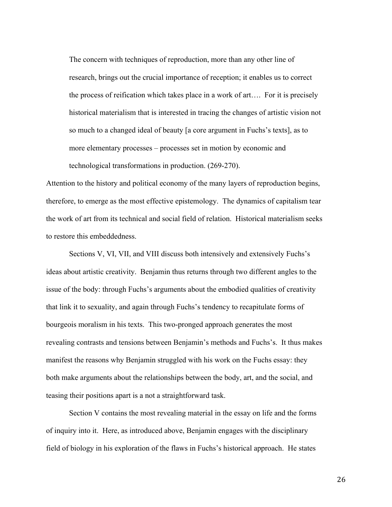The concern with techniques of reproduction, more than any other line of research, brings out the crucial importance of reception; it enables us to correct the process of reification which takes place in a work of art…. For it is precisely historical materialism that is interested in tracing the changes of artistic vision not so much to a changed ideal of beauty [a core argument in Fuchs's texts], as to more elementary processes – processes set in motion by economic and technological transformations in production. (269-270).

Attention to the history and political economy of the many layers of reproduction begins, therefore, to emerge as the most effective epistemology. The dynamics of capitalism tear the work of art from its technical and social field of relation. Historical materialism seeks to restore this embeddedness.

 Sections V, VI, VII, and VIII discuss both intensively and extensively Fuchs's ideas about artistic creativity. Benjamin thus returns through two different angles to the issue of the body: through Fuchs's arguments about the embodied qualities of creativity that link it to sexuality, and again through Fuchs's tendency to recapitulate forms of bourgeois moralism in his texts. This two-pronged approach generates the most revealing contrasts and tensions between Benjamin's methods and Fuchs's. It thus makes manifest the reasons why Benjamin struggled with his work on the Fuchs essay: they both make arguments about the relationships between the body, art, and the social, and teasing their positions apart is a not a straightforward task.

 Section V contains the most revealing material in the essay on life and the forms of inquiry into it. Here, as introduced above, Benjamin engages with the disciplinary field of biology in his exploration of the flaws in Fuchs's historical approach. He states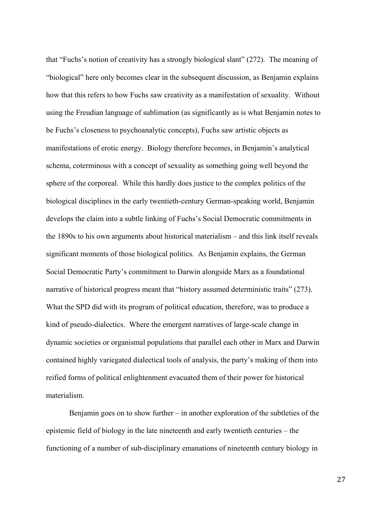that "Fuchs's notion of creativity has a strongly biological slant" (272). The meaning of "biological" here only becomes clear in the subsequent discussion, as Benjamin explains how that this refers to how Fuchs saw creativity as a manifestation of sexuality. Without using the Freudian language of sublimation (as significantly as is what Benjamin notes to be Fuchs's closeness to psychoanalytic concepts), Fuchs saw artistic objects as manifestations of erotic energy. Biology therefore becomes, in Benjamin's analytical schema, coterminous with a concept of sexuality as something going well beyond the sphere of the corporeal. While this hardly does justice to the complex politics of the biological disciplines in the early twentieth-century German-speaking world, Benjamin develops the claim into a subtle linking of Fuchs's Social Democratic commitments in the 1890s to his own arguments about historical materialism – and this link itself reveals significant moments of those biological politics. As Benjamin explains, the German Social Democratic Party's commitment to Darwin alongside Marx as a foundational narrative of historical progress meant that "history assumed deterministic traits" (273). What the SPD did with its program of political education, therefore, was to produce a kind of pseudo-dialectics. Where the emergent narratives of large-scale change in dynamic societies or organismal populations that parallel each other in Marx and Darwin contained highly variegated dialectical tools of analysis, the party's making of them into reified forms of political enlightenment evacuated them of their power for historical materialism.

Benjamin goes on to show further – in another exploration of the subtleties of the epistemic field of biology in the late nineteenth and early twentieth centuries – the functioning of a number of sub-disciplinary emanations of nineteenth century biology in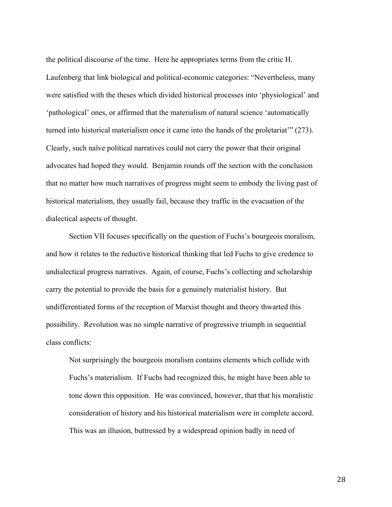the political discourse of the time. Here he appropriates terms from the critic H. Laufenberg that link biological and political-economic categories: "Nevertheless, many were satisfied with the theses which divided historical processes into 'physiological' and 'pathological' ones, or affirmed that the materialism of natural science 'automatically turned into historical materialism once it came into the hands of the proletariat'" (273). Clearly, such naïve political narratives could not carry the power that their original advocates had hoped they would. Benjamin rounds off the section with the conclusion that no matter how much narratives of progress might seem to embody the living past of historical materialism, they usually fail, because they traffic in the evacuation of the dialectical aspects of thought.

 Section VII focuses specifically on the question of Fuchs's bourgeois moralism, and how it relates to the reductive historical thinking that led Fuchs to give credence to undialectical progress narratives. Again, of course, Fuchs's collecting and scholarship carry the potential to provide the basis for a genuinely materialist history. But undifferentiated forms of the reception of Marxist thought and theory thwarted this possibility. Revolution was no simple narrative of progressive triumph in sequential class conflicts:

Not surprisingly the bourgeois moralism contains elements which collide with Fuchs's materialism. If Fuchs had recognized this, he might have been able to tone down this opposition. He was convinced, however, that that his moralistic consideration of history and his historical materialism were in complete accord. This was an illusion, buttressed by a widespread opinion badly in need of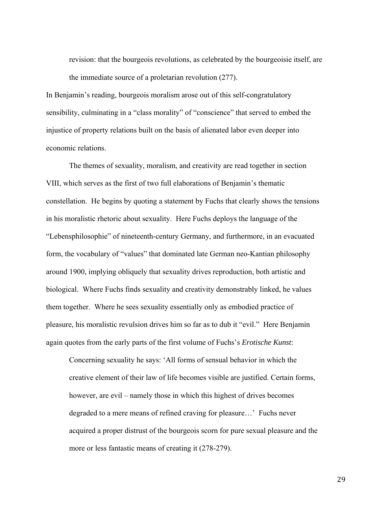revision: that the bourgeois revolutions, as celebrated by the bourgeoisie itself, are the immediate source of a proletarian revolution (277).

In Benjamin's reading, bourgeois moralism arose out of this self-congratulatory sensibility, culminating in a "class morality" of "conscience" that served to embed the injustice of property relations built on the basis of alienated labor even deeper into economic relations.

 The themes of sexuality, moralism, and creativity are read together in section VIII, which serves as the first of two full elaborations of Benjamin's thematic constellation. He begins by quoting a statement by Fuchs that clearly shows the tensions in his moralistic rhetoric about sexuality. Here Fuchs deploys the language of the "Lebensphilosophie" of nineteenth-century Germany, and furthermore, in an evacuated form, the vocabulary of "values" that dominated late German neo-Kantian philosophy around 1900, implying obliquely that sexuality drives reproduction, both artistic and biological. Where Fuchs finds sexuality and creativity demonstrably linked, he values them together. Where he sees sexuality essentially only as embodied practice of pleasure, his moralistic revulsion drives him so far as to dub it "evil." Here Benjamin again quotes from the early parts of the first volume of Fuchs's *Erotische Kunst*:

Concerning sexuality he says: 'All forms of sensual behavior in which the creative element of their law of life becomes visible are justified. Certain forms, however, are evil – namely those in which this highest of drives becomes degraded to a mere means of refined craving for pleasure…' Fuchs never acquired a proper distrust of the bourgeois scorn for pure sexual pleasure and the more or less fantastic means of creating it (278-279).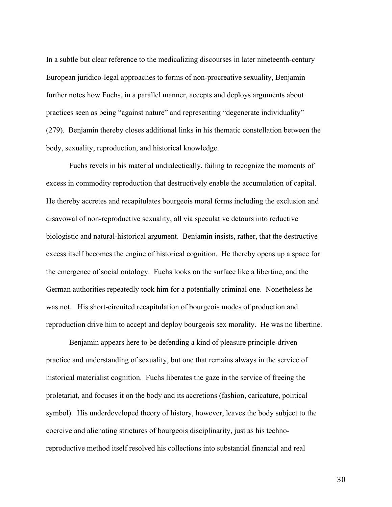In a subtle but clear reference to the medicalizing discourses in later nineteenth-century European juridico-legal approaches to forms of non-procreative sexuality, Benjamin further notes how Fuchs, in a parallel manner, accepts and deploys arguments about practices seen as being "against nature" and representing "degenerate individuality" (279). Benjamin thereby closes additional links in his thematic constellation between the body, sexuality, reproduction, and historical knowledge.

 Fuchs revels in his material undialectically, failing to recognize the moments of excess in commodity reproduction that destructively enable the accumulation of capital. He thereby accretes and recapitulates bourgeois moral forms including the exclusion and disavowal of non-reproductive sexuality, all via speculative detours into reductive biologistic and natural-historical argument. Benjamin insists, rather, that the destructive excess itself becomes the engine of historical cognition. He thereby opens up a space for the emergence of social ontology. Fuchs looks on the surface like a libertine, and the German authorities repeatedly took him for a potentially criminal one. Nonetheless he was not. His short-circuited recapitulation of bourgeois modes of production and reproduction drive him to accept and deploy bourgeois sex morality. He was no libertine.

 Benjamin appears here to be defending a kind of pleasure principle-driven practice and understanding of sexuality, but one that remains always in the service of historical materialist cognition. Fuchs liberates the gaze in the service of freeing the proletariat, and focuses it on the body and its accretions (fashion, caricature, political symbol). His underdeveloped theory of history, however, leaves the body subject to the coercive and alienating strictures of bourgeois disciplinarity, just as his technoreproductive method itself resolved his collections into substantial financial and real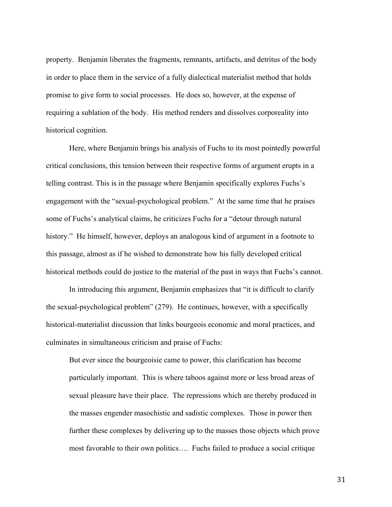property. Benjamin liberates the fragments, remnants, artifacts, and detritus of the body in order to place them in the service of a fully dialectical materialist method that holds promise to give form to social processes. He does so, however, at the expense of requiring a sublation of the body. His method renders and dissolves corporeality into historical cognition.

 Here, where Benjamin brings his analysis of Fuchs to its most pointedly powerful critical conclusions, this tension between their respective forms of argument erupts in a telling contrast. This is in the passage where Benjamin specifically explores Fuchs's engagement with the "sexual-psychological problem." At the same time that he praises some of Fuchs's analytical claims, he criticizes Fuchs for a "detour through natural history." He himself, however, deploys an analogous kind of argument in a footnote to this passage, almost as if he wished to demonstrate how his fully developed critical historical methods could do justice to the material of the past in ways that Fuchs's cannot.

 In introducing this argument, Benjamin emphasizes that "it is difficult to clarify the sexual-psychological problem" (279). He continues, however, with a specifically historical-materialist discussion that links bourgeois economic and moral practices, and culminates in simultaneous criticism and praise of Fuchs:

But ever since the bourgeoisie came to power, this clarification has become particularly important. This is where taboos against more or less broad areas of sexual pleasure have their place. The repressions which are thereby produced in the masses engender masochistic and sadistic complexes. Those in power then further these complexes by delivering up to the masses those objects which prove most favorable to their own politics…. Fuchs failed to produce a social critique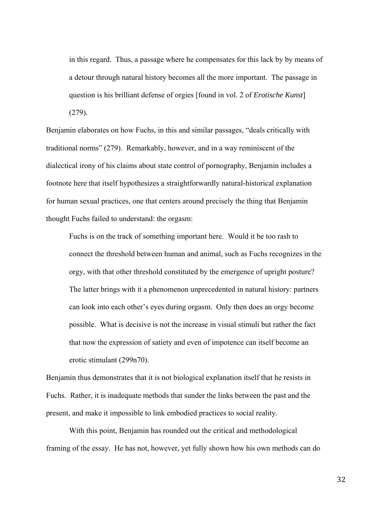in this regard. Thus, a passage where he compensates for this lack by by means of a detour through natural history becomes all the more important. The passage in question is his brilliant defense of orgies [found in vol. 2 of *Erotische Kunst*] (279).

Benjamin elaborates on how Fuchs, in this and similar passages, "deals critically with traditional norms" (279). Remarkably, however, and in a way reminiscent of the dialectical irony of his claims about state control of pornography, Benjamin includes a footnote here that itself hypothesizes a straightforwardly natural-historical explanation for human sexual practices, one that centers around precisely the thing that Benjamin thought Fuchs failed to understand: the orgasm:

Fuchs is on the track of something important here. Would it be too rash to connect the threshold between human and animal, such as Fuchs recognizes in the orgy, with that other threshold constituted by the emergence of upright posture? The latter brings with it a phenomenon unprecedented in natural history: partners can look into each other's eyes during orgasm. Only then does an orgy become possible. What is decisive is not the increase in visual stimuli but rather the fact that now the expression of satiety and even of impotence can itself become an erotic stimulant (299n70).

Benjamin thus demonstrates that it is not biological explanation itself that he resists in Fuchs. Rather, it is inadequate methods that sunder the links between the past and the present, and make it impossible to link embodied practices to social reality.

 With this point, Benjamin has rounded out the critical and methodological framing of the essay. He has not, however, yet fully shown how his own methods can do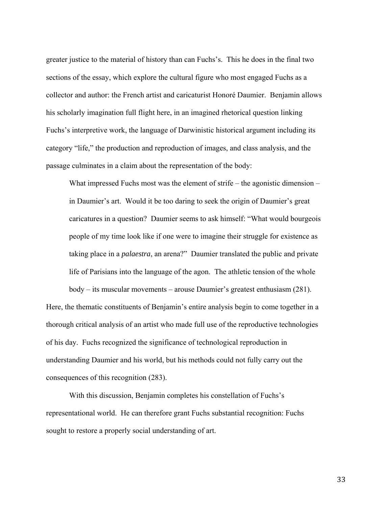greater justice to the material of history than can Fuchs's. This he does in the final two sections of the essay, which explore the cultural figure who most engaged Fuchs as a collector and author: the French artist and caricaturist Honoré Daumier. Benjamin allows his scholarly imagination full flight here, in an imagined rhetorical question linking Fuchs's interpretive work, the language of Darwinistic historical argument including its category "life," the production and reproduction of images, and class analysis, and the passage culminates in a claim about the representation of the body:

What impressed Fuchs most was the element of strife – the agonistic dimension – in Daumier's art. Would it be too daring to seek the origin of Daumier's great caricatures in a question? Daumier seems to ask himself: "What would bourgeois people of my time look like if one were to imagine their struggle for existence as taking place in a *palaestra*, an arena?" Daumier translated the public and private life of Parisians into the language of the agon. The athletic tension of the whole

body – its muscular movements – arouse Daumier's greatest enthusiasm (281). Here, the thematic constituents of Benjamin's entire analysis begin to come together in a thorough critical analysis of an artist who made full use of the reproductive technologies of his day. Fuchs recognized the significance of technological reproduction in understanding Daumier and his world, but his methods could not fully carry out the consequences of this recognition (283).

 With this discussion, Benjamin completes his constellation of Fuchs's representational world. He can therefore grant Fuchs substantial recognition: Fuchs sought to restore a properly social understanding of art.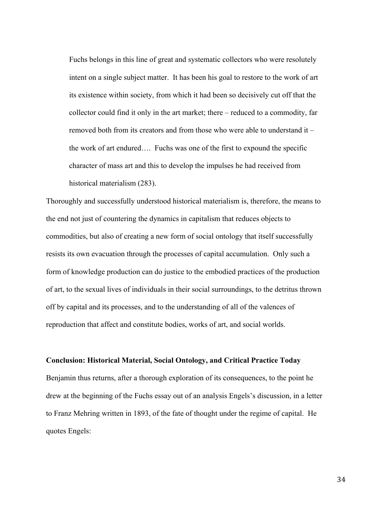Fuchs belongs in this line of great and systematic collectors who were resolutely intent on a single subject matter. It has been his goal to restore to the work of art its existence within society, from which it had been so decisively cut off that the collector could find it only in the art market; there – reduced to a commodity, far removed both from its creators and from those who were able to understand it – the work of art endured…. Fuchs was one of the first to expound the specific character of mass art and this to develop the impulses he had received from historical materialism (283).

Thoroughly and successfully understood historical materialism is, therefore, the means to the end not just of countering the dynamics in capitalism that reduces objects to commodities, but also of creating a new form of social ontology that itself successfully resists its own evacuation through the processes of capital accumulation. Only such a form of knowledge production can do justice to the embodied practices of the production of art, to the sexual lives of individuals in their social surroundings, to the detritus thrown off by capital and its processes, and to the understanding of all of the valences of reproduction that affect and constitute bodies, works of art, and social worlds.

## **Conclusion: Historical Material, Social Ontology, and Critical Practice Today**

Benjamin thus returns, after a thorough exploration of its consequences, to the point he drew at the beginning of the Fuchs essay out of an analysis Engels's discussion, in a letter to Franz Mehring written in 1893, of the fate of thought under the regime of capital. He quotes Engels: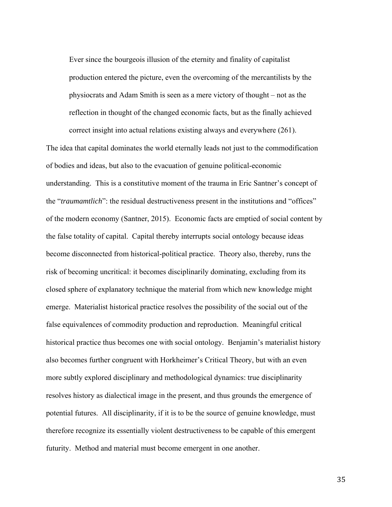Ever since the bourgeois illusion of the eternity and finality of capitalist production entered the picture, even the overcoming of the mercantilists by the physiocrats and Adam Smith is seen as a mere victory of thought – not as the reflection in thought of the changed economic facts, but as the finally achieved correct insight into actual relations existing always and everywhere (261).

The idea that capital dominates the world eternally leads not just to the commodification of bodies and ideas, but also to the evacuation of genuine political-economic understanding. This is a constitutive moment of the trauma in Eric Santner's concept of the "*traumamtlich*": the residual destructiveness present in the institutions and "offices" of the modern economy (Santner, 2015). Economic facts are emptied of social content by the false totality of capital. Capital thereby interrupts social ontology because ideas become disconnected from historical-political practice. Theory also, thereby, runs the risk of becoming uncritical: it becomes disciplinarily dominating, excluding from its closed sphere of explanatory technique the material from which new knowledge might emerge. Materialist historical practice resolves the possibility of the social out of the false equivalences of commodity production and reproduction. Meaningful critical historical practice thus becomes one with social ontology. Benjamin's materialist history also becomes further congruent with Horkheimer's Critical Theory, but with an even more subtly explored disciplinary and methodological dynamics: true disciplinarity resolves history as dialectical image in the present, and thus grounds the emergence of potential futures. All disciplinarity, if it is to be the source of genuine knowledge, must therefore recognize its essentially violent destructiveness to be capable of this emergent futurity. Method and material must become emergent in one another.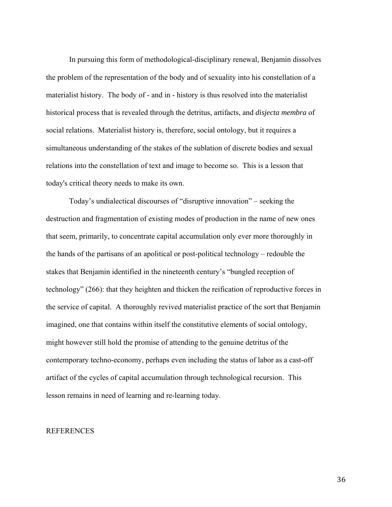In pursuing this form of methodological-disciplinary renewal, Benjamin dissolves the problem of the representation of the body and of sexuality into his constellation of a materialist history. The body of - and in - history is thus resolved into the materialist historical process that is revealed through the detritus, artifacts, and *disjecta membra* of social relations. Materialist history is, therefore, social ontology, but it requires a simultaneous understanding of the stakes of the sublation of discrete bodies and sexual relations into the constellation of text and image to become so. This is a lesson that today's critical theory needs to make its own.

 Today's undialectical discourses of "disruptive innovation" – seeking the destruction and fragmentation of existing modes of production in the name of new ones that seem, primarily, to concentrate capital accumulation only ever more thoroughly in the hands of the partisans of an apolitical or post-political technology – redouble the stakes that Benjamin identified in the nineteenth century's "bungled reception of technology" (266): that they heighten and thicken the reification of reproductive forces in the service of capital. A thoroughly revived materialist practice of the sort that Benjamin imagined, one that contains within itself the constitutive elements of social ontology, might however still hold the promise of attending to the genuine detritus of the contemporary techno-economy, perhaps even including the status of labor as a cast-off artifact of the cycles of capital accumulation through technological recursion. This lesson remains in need of learning and re-learning today.

## **REFERENCES**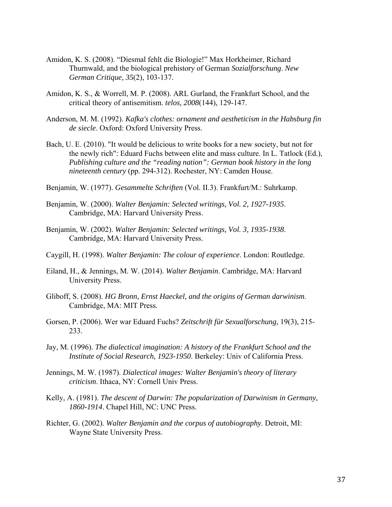- Amidon, K. S. (2008). "Diesmal fehlt die Biologie!" Max Horkheimer, Richard Thurnwald, and the biological prehistory of German *Sozialforschung*. *New German Critique, 35*(2), 103-137.
- Amidon, K. S., & Worrell, M. P. (2008). ARL Gurland, the Frankfurt School, and the critical theory of antisemitism. *telos, 2008*(144), 129-147.
- Anderson, M. M. (1992). *Kafka's clothes: ornament and aestheticism in the Habsburg fin de siecle*. Oxford: Oxford University Press.
- Bach, U. E. (2010). "It would be delicious to write books for a new society, but not for the newly rich": Eduard Fuchs between elite and mass culture. In L. Tatlock (Ed.), *Publishing culture and the "reading nation": German book history in the long nineteenth century* (pp. 294-312). Rochester, NY: Camden House.
- Benjamin, W. (1977). *Gesammelte Schriften* (Vol. II.3). Frankfurt/M.: Suhrkamp.
- Benjamin, W. (2000). *Walter Benjamin: Selected writings, Vol. 2, 1927-1935*. Cambridge, MA: Harvard University Press.
- Benjamin, W. (2002). *Walter Benjamin: Selected writings, Vol. 3, 1935-1938*. Cambridge, MA: Harvard University Press.
- Caygill, H. (1998). *Walter Benjamin: The colour of experience*. London: Routledge.
- Eiland, H., & Jennings, M. W. (2014). *Walter Benjamin*. Cambridge, MA: Harvard University Press.
- Gliboff, S. (2008). *HG Bronn, Ernst Haeckel, and the origins of German darwinism*. Cambridge, MA: MIT Press.
- Gorsen, P. (2006). Wer war Eduard Fuchs? *Zeitschrift für Sexualforschung,* 19(3), 215- 233.
- Jay, M. (1996). *The dialectical imagination: A history of the Frankfurt School and the Institute of Social Research, 1923-1950*. Berkeley: Univ of California Press.
- Jennings, M. W. (1987). *Dialectical images: Walter Benjamin's theory of literary criticism*. Ithaca, NY: Cornell Univ Press.
- Kelly, A. (1981). *The descent of Darwin: The popularization of Darwinism in Germany, 1860-1914*. Chapel Hill, NC: UNC Press.
- Richter, G. (2002). *Walter Benjamin and the corpus of autobiography*. Detroit, MI: Wayne State University Press.